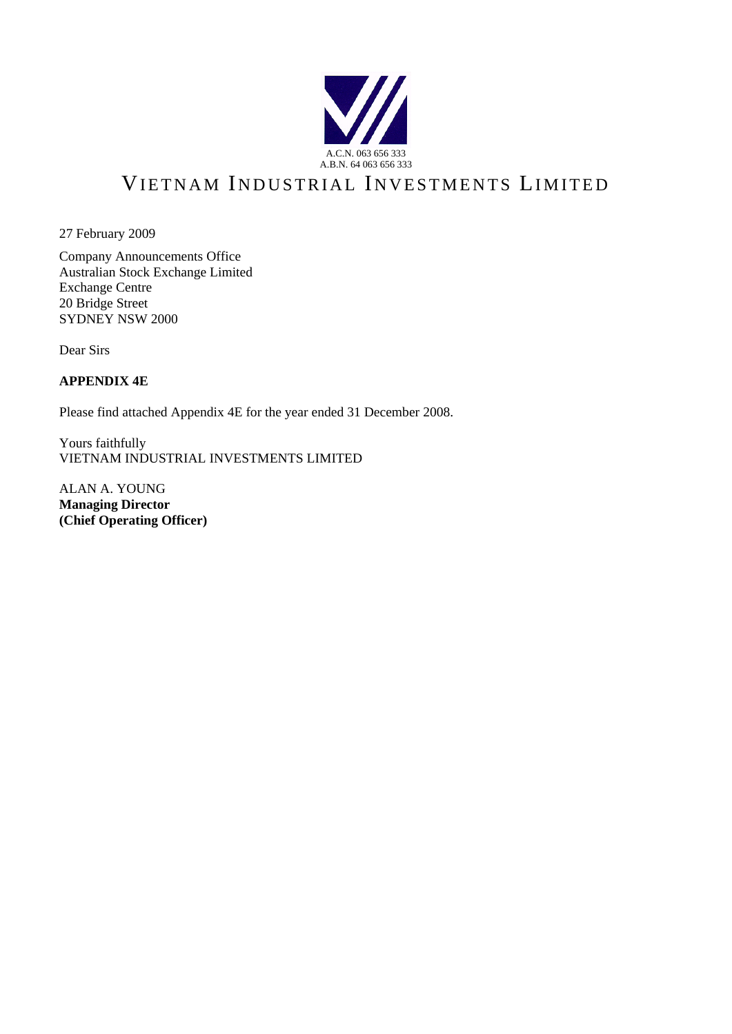

# VIETNAM INDUSTRIAL INVESTMENTS LIMITED

27 February 2009

Company Announcements Office Australian Stock Exchange Limited Exchange Centre 20 Bridge Street SYDNEY NSW 2000

Dear Sirs

## **APPENDIX 4E**

Please find attached Appendix 4E for the year ended 31 December 2008.

Yours faithfully VIETNAM INDUSTRIAL INVESTMENTS LIMITED

ALAN A. YOUNG **Managing Director (Chief Operating Officer)**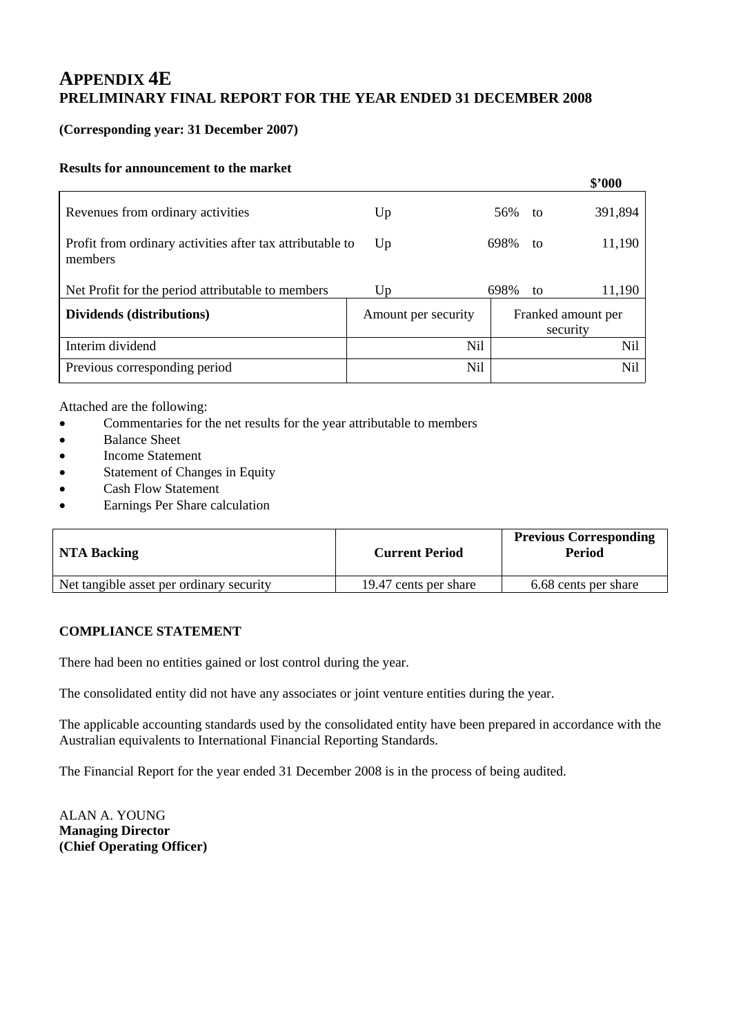## **(Corresponding year: 31 December 2007)**

## **Results for announcement to the market**

|                                                                      |                     |     |      |    | \$'000                         |
|----------------------------------------------------------------------|---------------------|-----|------|----|--------------------------------|
| Revenues from ordinary activities                                    | Up                  |     | 56%  | to | 391,894                        |
| Profit from ordinary activities after tax attributable to<br>members | Up                  |     | 698% | to | 11,190                         |
| Net Profit for the period attributable to members                    | Up                  |     | 698% | to | 11,190                         |
| Dividends (distributions)                                            | Amount per security |     |      |    | Franked amount per<br>security |
| Interim dividend                                                     |                     | Nil |      |    | <b>Nil</b>                     |
| Previous corresponding period                                        |                     | Nil |      |    | Nil                            |

Attached are the following:

- Commentaries for the net results for the year attributable to members
- Balance Sheet
- Income Statement
- Statement of Changes in Equity
- Cash Flow Statement
- Earnings Per Share calculation

| <b>NTA Backing</b>                       | <b>Current Period</b> | <b>Previous Corresponding</b><br>Period |
|------------------------------------------|-----------------------|-----------------------------------------|
| Net tangible asset per ordinary security | 19.47 cents per share | 6.68 cents per share                    |

## **COMPLIANCE STATEMENT**

There had been no entities gained or lost control during the year.

The consolidated entity did not have any associates or joint venture entities during the year.

The applicable accounting standards used by the consolidated entity have been prepared in accordance with the Australian equivalents to International Financial Reporting Standards.

The Financial Report for the year ended 31 December 2008 is in the process of being audited.

ALAN A. YOUNG **Managing Director (Chief Operating Officer)**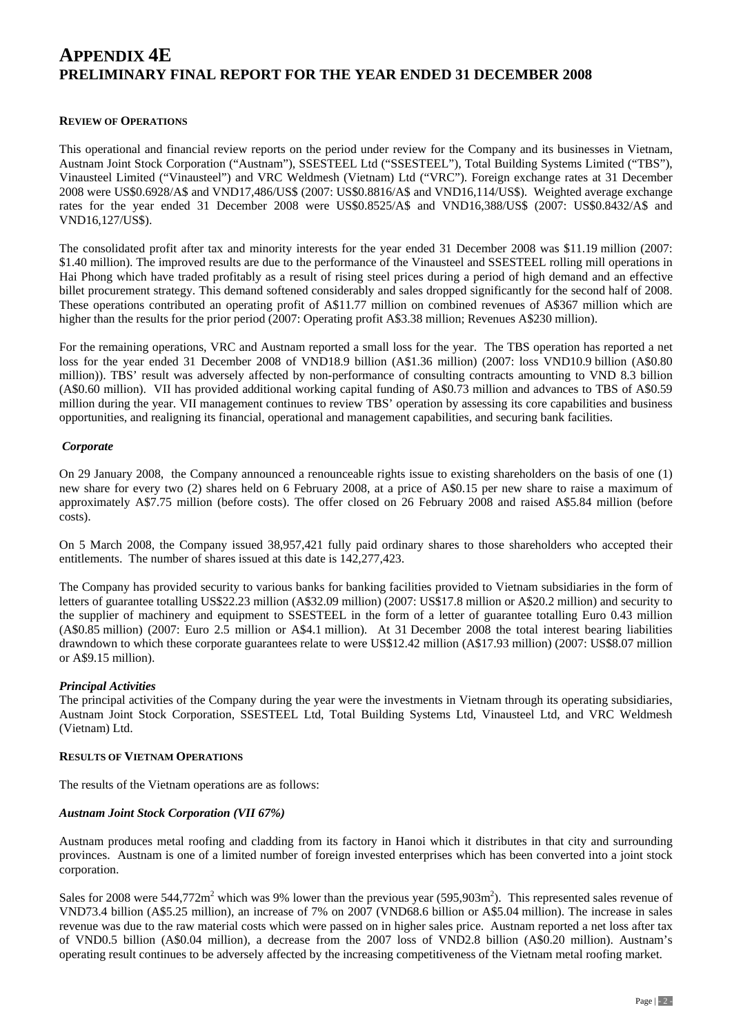### **REVIEW OF OPERATIONS**

This operational and financial review reports on the period under review for the Company and its businesses in Vietnam, Austnam Joint Stock Corporation ("Austnam"), SSESTEEL Ltd ("SSESTEEL"), Total Building Systems Limited ("TBS"), Vinausteel Limited ("Vinausteel") and VRC Weldmesh (Vietnam) Ltd ("VRC"). Foreign exchange rates at 31 December 2008 were US\$0.6928/A\$ and VND17,486/US\$ (2007: US\$0.8816/A\$ and VND16,114/US\$). Weighted average exchange rates for the year ended 31 December 2008 were US\$0.8525/A\$ and VND16,388/US\$ (2007: US\$0.8432/A\$ and VND16,127/US\$).

The consolidated profit after tax and minority interests for the year ended 31 December 2008 was \$11.19 million (2007: \$1.40 million). The improved results are due to the performance of the Vinausteel and SSESTEEL rolling mill operations in Hai Phong which have traded profitably as a result of rising steel prices during a period of high demand and an effective billet procurement strategy. This demand softened considerably and sales dropped significantly for the second half of 2008. These operations contributed an operating profit of A\$11.77 million on combined revenues of A\$367 million which are higher than the results for the prior period (2007: Operating profit A\$3.38 million; Revenues A\$230 million).

For the remaining operations, VRC and Austnam reported a small loss for the year. The TBS operation has reported a net loss for the year ended 31 December 2008 of VND18.9 billion (A\$1.36 million) (2007: loss VND10.9 billion (A\$0.80 million)). TBS' result was adversely affected by non-performance of consulting contracts amounting to VND 8.3 billion (A\$0.60 million). VII has provided additional working capital funding of A\$0.73 million and advances to TBS of A\$0.59 million during the year. VII management continues to review TBS' operation by assessing its core capabilities and business opportunities, and realigning its financial, operational and management capabilities, and securing bank facilities.

### *Corporate*

On 29 January 2008, the Company announced a renounceable rights issue to existing shareholders on the basis of one (1) new share for every two (2) shares held on 6 February 2008, at a price of A\$0.15 per new share to raise a maximum of approximately A\$7.75 million (before costs). The offer closed on 26 February 2008 and raised A\$5.84 million (before costs).

On 5 March 2008, the Company issued 38,957,421 fully paid ordinary shares to those shareholders who accepted their entitlements. The number of shares issued at this date is 142,277,423.

The Company has provided security to various banks for banking facilities provided to Vietnam subsidiaries in the form of letters of guarantee totalling US\$22.23 million (A\$32.09 million) (2007: US\$17.8 million or A\$20.2 million) and security to the supplier of machinery and equipment to SSESTEEL in the form of a letter of guarantee totalling Euro 0.43 million (A\$0.85 million) (2007: Euro 2.5 million or A\$4.1 million). At 31 December 2008 the total interest bearing liabilities drawndown to which these corporate guarantees relate to were US\$12.42 million (A\$17.93 million) (2007: US\$8.07 million or A\$9.15 million).

### *Principal Activities*

The principal activities of the Company during the year were the investments in Vietnam through its operating subsidiaries, Austnam Joint Stock Corporation, SSESTEEL Ltd, Total Building Systems Ltd, Vinausteel Ltd, and VRC Weldmesh (Vietnam) Ltd.

### **RESULTS OF VIETNAM OPERATIONS**

The results of the Vietnam operations are as follows:

### *Austnam Joint Stock Corporation (VII 67%)*

Austnam produces metal roofing and cladding from its factory in Hanoi which it distributes in that city and surrounding provinces. Austnam is one of a limited number of foreign invested enterprises which has been converted into a joint stock corporation.

Sales for 2008 were  $544,772m^2$  which was 9% lower than the previous year (595,903m<sup>2</sup>). This represented sales revenue of VND73.4 billion (A\$5.25 million), an increase of 7% on 2007 (VND68.6 billion or A\$5.04 million). The increase in sales revenue was due to the raw material costs which were passed on in higher sales price. Austnam reported a net loss after tax of VND0.5 billion (A\$0.04 million), a decrease from the 2007 loss of VND2.8 billion (A\$0.20 million). Austnam's operating result continues to be adversely affected by the increasing competitiveness of the Vietnam metal roofing market.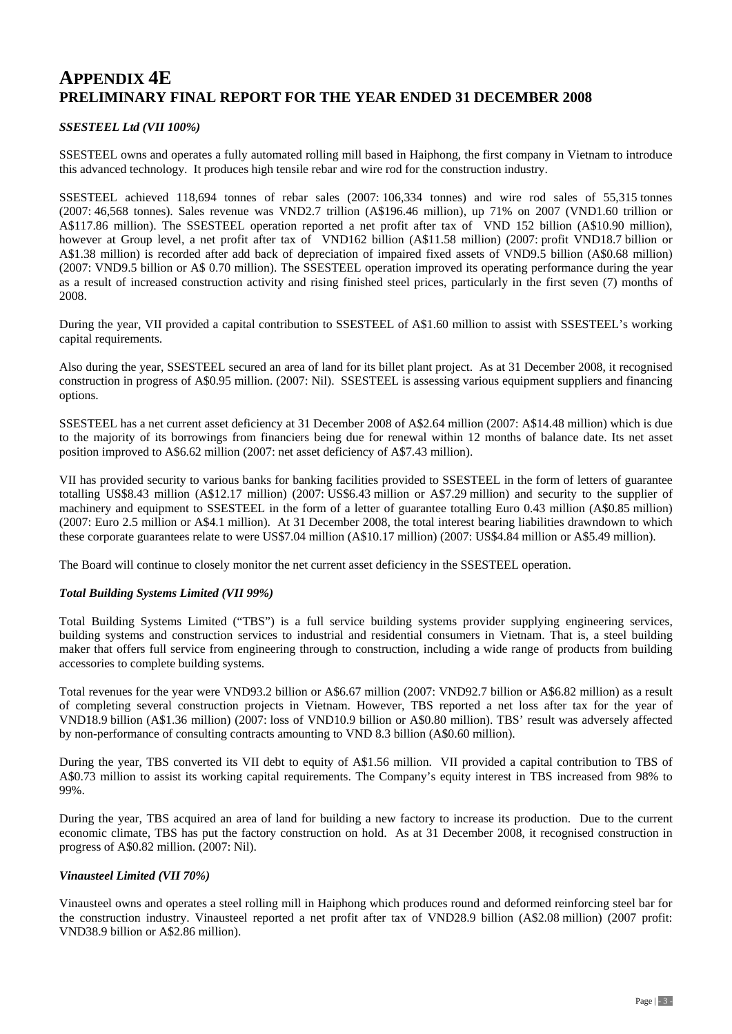### *SSESTEEL Ltd (VII 100%)*

SSESTEEL owns and operates a fully automated rolling mill based in Haiphong, the first company in Vietnam to introduce this advanced technology. It produces high tensile rebar and wire rod for the construction industry.

SSESTEEL achieved 118,694 tonnes of rebar sales (2007: 106,334 tonnes) and wire rod sales of 55,315 tonnes (2007: 46,568 tonnes). Sales revenue was VND2.7 trillion (A\$196.46 million), up 71% on 2007 (VND1.60 trillion or A\$117.86 million). The SSESTEEL operation reported a net profit after tax of VND 152 billion (A\$10.90 million), however at Group level, a net profit after tax of VND162 billion (A\$11.58 million) (2007: profit VND18.7 billion or A\$1.38 million) is recorded after add back of depreciation of impaired fixed assets of VND9.5 billion (A\$0.68 million) (2007: VND9.5 billion or A\$ 0.70 million). The SSESTEEL operation improved its operating performance during the year as a result of increased construction activity and rising finished steel prices, particularly in the first seven (7) months of 2008.

During the year, VII provided a capital contribution to SSESTEEL of A\$1.60 million to assist with SSESTEEL's working capital requirements.

Also during the year, SSESTEEL secured an area of land for its billet plant project. As at 31 December 2008, it recognised construction in progress of A\$0.95 million. (2007: Nil). SSESTEEL is assessing various equipment suppliers and financing options.

SSESTEEL has a net current asset deficiency at 31 December 2008 of A\$2.64 million (2007: A\$14.48 million) which is due to the majority of its borrowings from financiers being due for renewal within 12 months of balance date. Its net asset position improved to A\$6.62 million (2007: net asset deficiency of A\$7.43 million).

VII has provided security to various banks for banking facilities provided to SSESTEEL in the form of letters of guarantee totalling US\$8.43 million (A\$12.17 million) (2007: US\$6.43 million or A\$7.29 million) and security to the supplier of machinery and equipment to SSESTEEL in the form of a letter of guarantee totalling Euro 0.43 million (A\$0.85 million) (2007: Euro 2.5 million or A\$4.1 million). At 31 December 2008, the total interest bearing liabilities drawndown to which these corporate guarantees relate to were US\$7.04 million (A\$10.17 million) (2007: US\$4.84 million or A\$5.49 million).

The Board will continue to closely monitor the net current asset deficiency in the SSESTEEL operation.

### *Total Building Systems Limited (VII 99%)*

Total Building Systems Limited ("TBS") is a full service building systems provider supplying engineering services, building systems and construction services to industrial and residential consumers in Vietnam. That is, a steel building maker that offers full service from engineering through to construction, including a wide range of products from building accessories to complete building systems.

Total revenues for the year were VND93.2 billion or A\$6.67 million (2007: VND92.7 billion or A\$6.82 million) as a result of completing several construction projects in Vietnam. However, TBS reported a net loss after tax for the year of VND18.9 billion (A\$1.36 million) (2007: loss of VND10.9 billion or A\$0.80 million). TBS' result was adversely affected by non-performance of consulting contracts amounting to VND 8.3 billion (A\$0.60 million).

During the year, TBS converted its VII debt to equity of A\$1.56 million. VII provided a capital contribution to TBS of A\$0.73 million to assist its working capital requirements. The Company's equity interest in TBS increased from 98% to 99%.

During the year, TBS acquired an area of land for building a new factory to increase its production. Due to the current economic climate, TBS has put the factory construction on hold. As at 31 December 2008, it recognised construction in progress of A\$0.82 million. (2007: Nil).

### *Vinausteel Limited (VII 70%)*

Vinausteel owns and operates a steel rolling mill in Haiphong which produces round and deformed reinforcing steel bar for the construction industry. Vinausteel reported a net profit after tax of VND28.9 billion (A\$2.08 million) (2007 profit: VND38.9 billion or A\$2.86 million).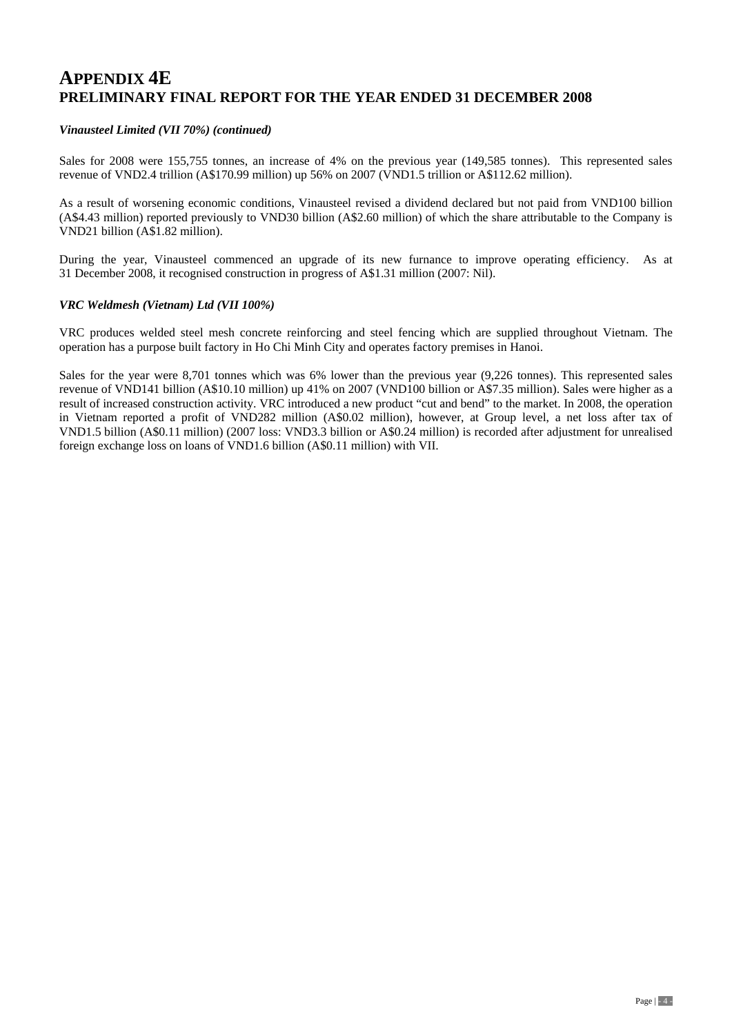### *Vinausteel Limited (VII 70%) (continued)*

Sales for 2008 were 155,755 tonnes, an increase of 4% on the previous year (149,585 tonnes).This represented sales revenue of VND2.4 trillion (A\$170.99 million) up 56% on 2007 (VND1.5 trillion or A\$112.62 million).

As a result of worsening economic conditions, Vinausteel revised a dividend declared but not paid from VND100 billion (A\$4.43 million) reported previously to VND30 billion (A\$2.60 million) of which the share attributable to the Company is VND21 billion (A\$1.82 million).

During the year, Vinausteel commenced an upgrade of its new furnance to improve operating efficiency. As at 31 December 2008, it recognised construction in progress of A\$1.31 million (2007: Nil).

### *VRC Weldmesh (Vietnam) Ltd (VII 100%)*

VRC produces welded steel mesh concrete reinforcing and steel fencing which are supplied throughout Vietnam. The operation has a purpose built factory in Ho Chi Minh City and operates factory premises in Hanoi.

Sales for the year were 8,701 tonnes which was 6% lower than the previous year (9,226 tonnes). This represented sales revenue of VND141 billion (A\$10.10 million) up 41% on 2007 (VND100 billion or A\$7.35 million). Sales were higher as a result of increased construction activity. VRC introduced a new product "cut and bend" to the market. In 2008, the operation in Vietnam reported a profit of VND282 million (A\$0.02 million), however, at Group level, a net loss after tax of VND1.5 billion (A\$0.11 million) (2007 loss: VND3.3 billion or A\$0.24 million) is recorded after adjustment for unrealised foreign exchange loss on loans of VND1.6 billion (A\$0.11 million) with VII.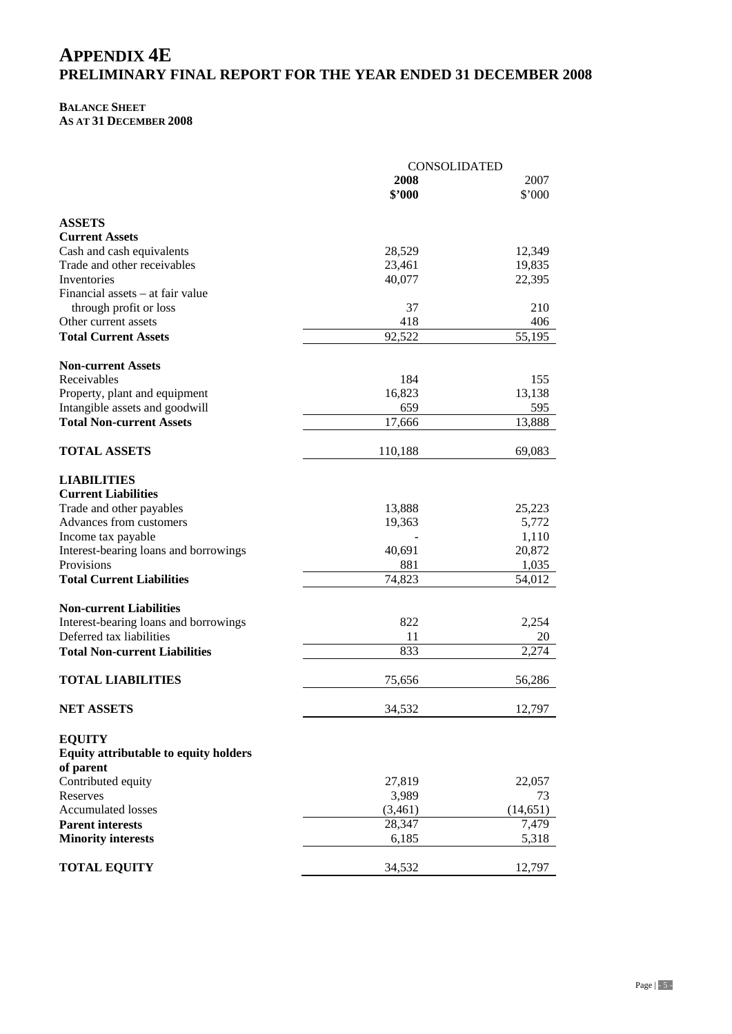## **BALANCE SHEET**

**AS AT 31 DECEMBER 2008** 

|                                              | <b>CONSOLIDATED</b> |           |
|----------------------------------------------|---------------------|-----------|
|                                              | 2008                | 2007      |
|                                              | \$2000              | \$'000    |
| <b>ASSETS</b>                                |                     |           |
| <b>Current Assets</b>                        |                     |           |
| Cash and cash equivalents                    | 28,529              | 12,349    |
| Trade and other receivables                  | 23,461              | 19,835    |
| Inventories                                  | 40,077              | 22,395    |
| Financial assets – at fair value             |                     |           |
| through profit or loss                       | 37                  | 210       |
| Other current assets                         | 418                 | 406       |
| <b>Total Current Assets</b>                  | 92,522              | 55,195    |
|                                              |                     |           |
| <b>Non-current Assets</b>                    |                     |           |
| Receivables                                  | 184                 | 155       |
| Property, plant and equipment                | 16,823              | 13,138    |
| Intangible assets and goodwill               | 659                 | 595       |
| <b>Total Non-current Assets</b>              | 17,666              | 13,888    |
|                                              |                     |           |
| <b>TOTAL ASSETS</b>                          | 110,188             | 69,083    |
| <b>LIABILITIES</b>                           |                     |           |
| <b>Current Liabilities</b>                   |                     |           |
| Trade and other payables                     | 13,888              | 25,223    |
| Advances from customers                      | 19,363              | 5,772     |
| Income tax payable                           |                     | 1,110     |
| Interest-bearing loans and borrowings        | 40,691              | 20,872    |
| Provisions                                   | 881                 | 1,035     |
| <b>Total Current Liabilities</b>             | 74,823              | 54,012    |
|                                              |                     |           |
| <b>Non-current Liabilities</b>               |                     |           |
| Interest-bearing loans and borrowings        | 822                 | 2,254     |
| Deferred tax liabilities                     | 11                  | 20        |
| <b>Total Non-current Liabilities</b>         | 833                 | 2,274     |
| <b>TOTAL LIABILITIES</b>                     | 75,656              | 56,286    |
|                                              |                     |           |
| <b>NET ASSETS</b>                            | 34,532              | 12,797    |
| <b>EQUITY</b>                                |                     |           |
| <b>Equity attributable to equity holders</b> |                     |           |
| of parent                                    |                     |           |
| Contributed equity                           | 27,819              | 22,057    |
| Reserves                                     | 3,989               | 73        |
| <b>Accumulated losses</b>                    | (3,461)             | (14, 651) |
| <b>Parent interests</b>                      | 28,347              | 7,479     |
| <b>Minority interests</b>                    | 6,185               | 5,318     |
|                                              |                     |           |
| <b>TOTAL EQUITY</b>                          | 34,532              | 12,797    |
|                                              |                     |           |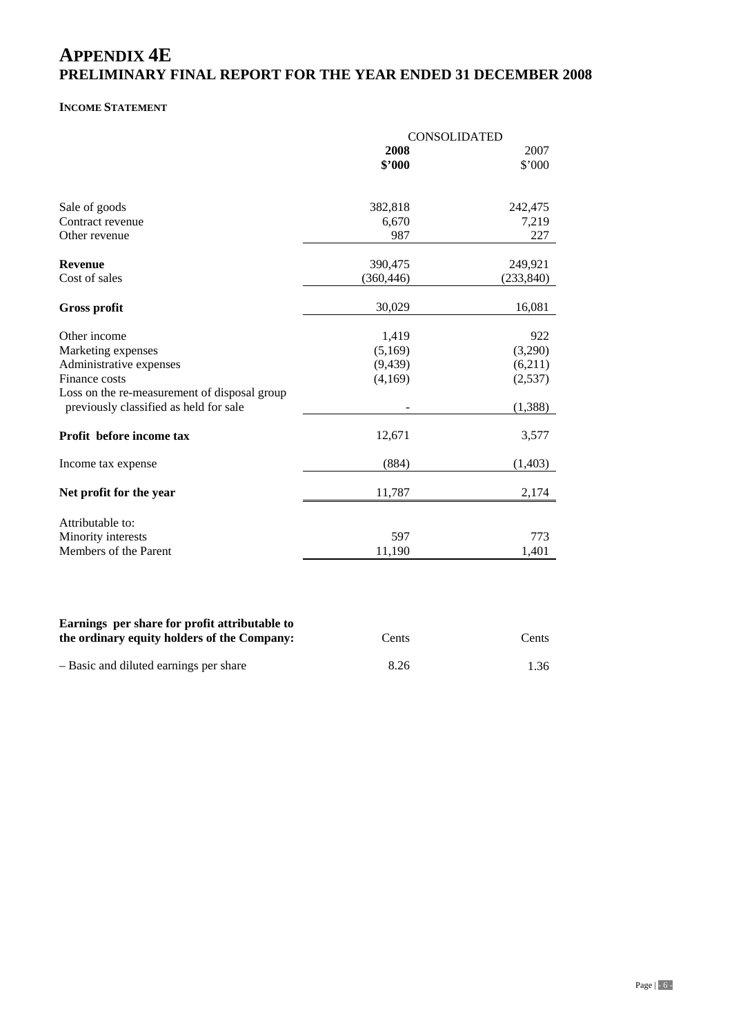### **INCOME STATEMENT**

|                                                                                        | CONSOLIDATED |            |  |  |
|----------------------------------------------------------------------------------------|--------------|------------|--|--|
|                                                                                        | 2008         | 2007       |  |  |
|                                                                                        | \$2000       | \$'000     |  |  |
| Sale of goods                                                                          | 382,818      | 242,475    |  |  |
| Contract revenue                                                                       | 6,670        | 7,219      |  |  |
| Other revenue                                                                          | 987          | 227        |  |  |
| <b>Revenue</b>                                                                         | 390,475      | 249,921    |  |  |
| Cost of sales                                                                          | (360, 446)   | (233, 840) |  |  |
| <b>Gross profit</b>                                                                    | 30,029       | 16,081     |  |  |
| Other income                                                                           | 1,419        | 922        |  |  |
| Marketing expenses                                                                     | (5,169)      | (3,290)    |  |  |
| Administrative expenses                                                                | (9, 439)     | (6,211)    |  |  |
| Finance costs                                                                          | (4,169)      | (2,537)    |  |  |
| Loss on the re-measurement of disposal group<br>previously classified as held for sale |              | (1, 388)   |  |  |
| Profit before income tax                                                               | 12,671       | 3,577      |  |  |
| Income tax expense                                                                     | (884)        | (1,403)    |  |  |
| Net profit for the year                                                                | 11,787       | 2,174      |  |  |
| Attributable to:                                                                       |              |            |  |  |
| Minority interests                                                                     | 597          | 773        |  |  |
|                                                                                        | 11,190       | 1,401      |  |  |

| the ordinary equity holders of the Company: | Cents | Cents |
|---------------------------------------------|-------|-------|
| - Basic and diluted earnings per share      | 8.26  | 1.36  |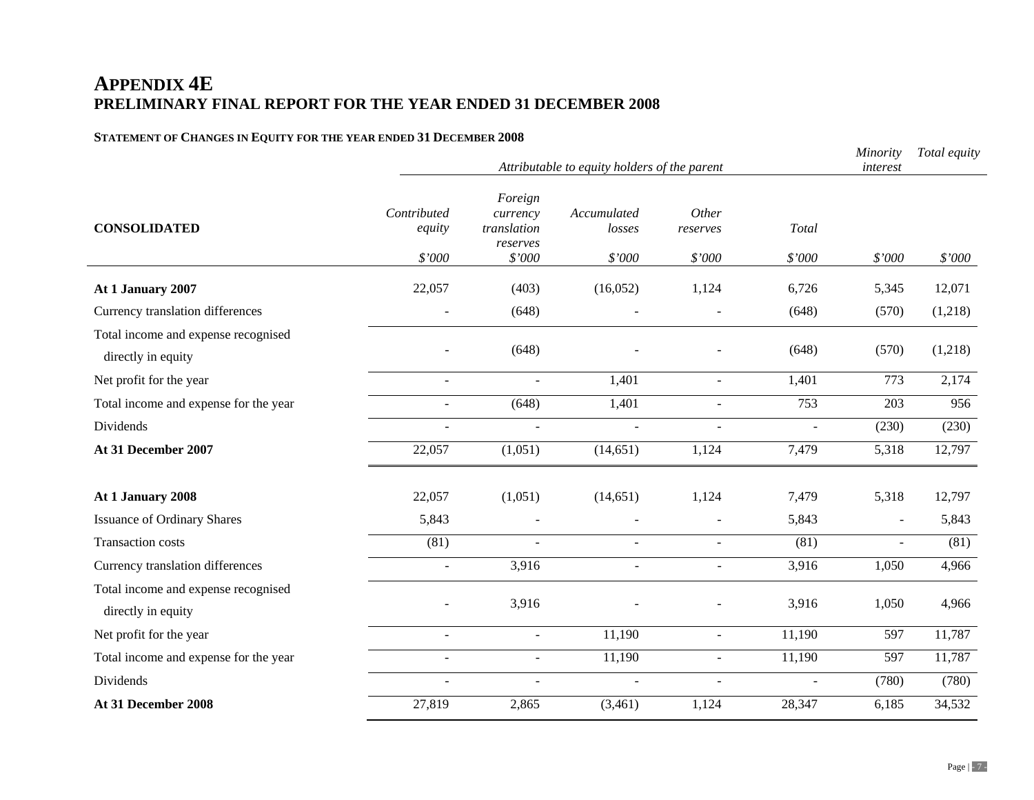## **STATEMENT OF CHANGES IN EQUITY FOR THE YEAR ENDED 31 DECEMBER 2008**

|                                       |                | Minority<br>interest    | Total equity   |                |          |        |                  |
|---------------------------------------|----------------|-------------------------|----------------|----------------|----------|--------|------------------|
|                                       |                |                         |                |                |          |        |                  |
|                                       | Contributed    | Foreign                 | Accumulated    | Other          |          |        |                  |
| <b>CONSOLIDATED</b>                   | equity         | currency<br>translation | losses         | reserves       | Total    |        |                  |
|                                       |                | reserves                |                |                |          |        |                  |
|                                       | \$'000         | \$'000                  | \$'000         | \$'000         | \$'000   | \$'000 | \$'000           |
| At 1 January 2007                     | 22,057         | (403)                   | (16,052)       | 1,124          | 6,726    | 5,345  | 12,071           |
| Currency translation differences      |                | (648)                   |                |                | (648)    | (570)  | (1,218)          |
| Total income and expense recognised   |                |                         |                |                |          |        |                  |
| directly in equity                    |                | (648)                   |                |                | (648)    | (570)  | (1,218)          |
| Net profit for the year               | $\blacksquare$ | $\blacksquare$          | 1,401          | $\blacksquare$ | 1,401    | 773    | 2,174            |
| Total income and expense for the year | $\omega$       | (648)                   | 1,401          | $\omega$       | 753      | 203    | $\overline{956}$ |
| Dividends                             | $\sim$         | $\overline{a}$          | $\sim$         |                | $\omega$ | (230)  | (230)            |
| At 31 December 2007                   | 22,057         | (1,051)                 | (14, 651)      | 1,124          | 7,479    | 5,318  | 12,797           |
|                                       |                |                         |                |                |          |        |                  |
| At 1 January 2008                     | 22,057         | (1,051)                 | (14, 651)      | 1,124          | 7,479    | 5,318  | 12,797           |
| <b>Issuance of Ordinary Shares</b>    | 5,843          |                         |                |                | 5,843    |        | 5,843            |
| <b>Transaction costs</b>              | (81)           |                         |                |                | (81)     |        | (81)             |
| Currency translation differences      | $\blacksquare$ | 3,916                   | ÷.             | $\sim$         | 3,916    | 1,050  | 4,966            |
| Total income and expense recognised   |                |                         |                |                |          |        |                  |
| directly in equity                    |                | 3,916                   |                |                | 3,916    | 1,050  | 4,966            |
| Net profit for the year               | $\mathcal{L}$  | $\blacksquare$          | 11,190         | $\mathbf{r}$   | 11,190   | 597    | 11,787           |
| Total income and expense for the year |                | $\overline{a}$          | 11,190         | $\omega$       | 11,190   | 597    | 11,787           |
| Dividends                             |                | $\overline{a}$          | $\overline{a}$ |                | $\sim$   | (780)  | (780)            |
| At 31 December 2008                   | 27,819         | 2,865                   | (3,461)        | 1,124          | 28,347   | 6,185  | 34,532           |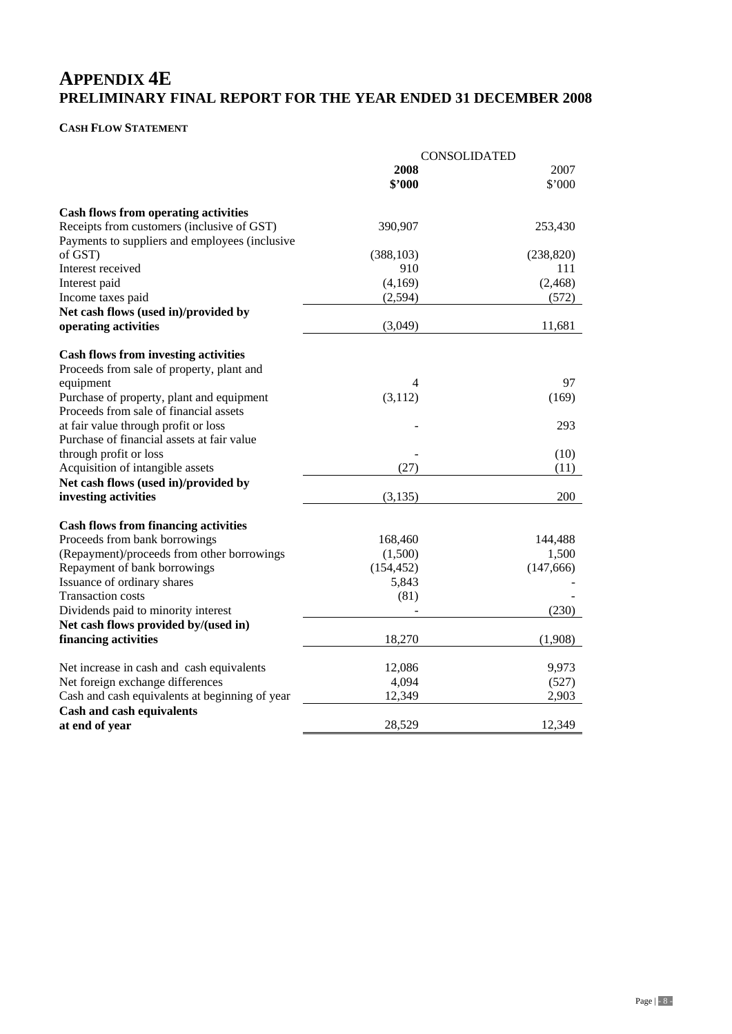### **CASH FLOW STATEMENT**

|                                                                                              | <b>CONSOLIDATED</b> |            |
|----------------------------------------------------------------------------------------------|---------------------|------------|
|                                                                                              | 2008                | 2007       |
|                                                                                              | \$'000              | \$'000     |
| <b>Cash flows from operating activities</b>                                                  |                     |            |
| Receipts from customers (inclusive of GST)<br>Payments to suppliers and employees (inclusive | 390,907             | 253,430    |
| of GST)                                                                                      | (388, 103)          | (238, 820) |
| Interest received                                                                            | 910                 | 111        |
| Interest paid                                                                                | (4,169)             | (2, 468)   |
| Income taxes paid                                                                            | (2,594)             | (572)      |
| Net cash flows (used in)/provided by                                                         |                     |            |
| operating activities                                                                         | (3,049)             | 11,681     |
| <b>Cash flows from investing activities</b>                                                  |                     |            |
| Proceeds from sale of property, plant and                                                    |                     |            |
| equipment                                                                                    | 4                   | 97         |
| Purchase of property, plant and equipment                                                    | (3, 112)            | (169)      |
| Proceeds from sale of financial assets                                                       |                     |            |
| at fair value through profit or loss                                                         |                     | 293        |
| Purchase of financial assets at fair value                                                   |                     |            |
| through profit or loss                                                                       |                     | (10)       |
| Acquisition of intangible assets                                                             | (27)                | (11)       |
| Net cash flows (used in)/provided by                                                         |                     |            |
| investing activities                                                                         | (3, 135)            | 200        |
| <b>Cash flows from financing activities</b>                                                  |                     |            |
| Proceeds from bank borrowings                                                                | 168,460             | 144,488    |
| (Repayment)/proceeds from other borrowings                                                   | (1,500)             | 1,500      |
| Repayment of bank borrowings                                                                 | (154, 452)          | (147, 666) |
| Issuance of ordinary shares                                                                  | 5,843               |            |
| <b>Transaction costs</b>                                                                     | (81)                |            |
| Dividends paid to minority interest                                                          |                     | (230)      |
| Net cash flows provided by/(used in)                                                         |                     |            |
| financing activities                                                                         | 18,270              | (1,908)    |
| Net increase in cash and cash equivalents                                                    | 12,086              | 9,973      |
| Net foreign exchange differences                                                             | 4,094               | (527)      |
| Cash and cash equivalents at beginning of year                                               | 12,349              | 2,903      |
| <b>Cash and cash equivalents</b>                                                             |                     |            |
| at end of year                                                                               | 28,529              | 12,349     |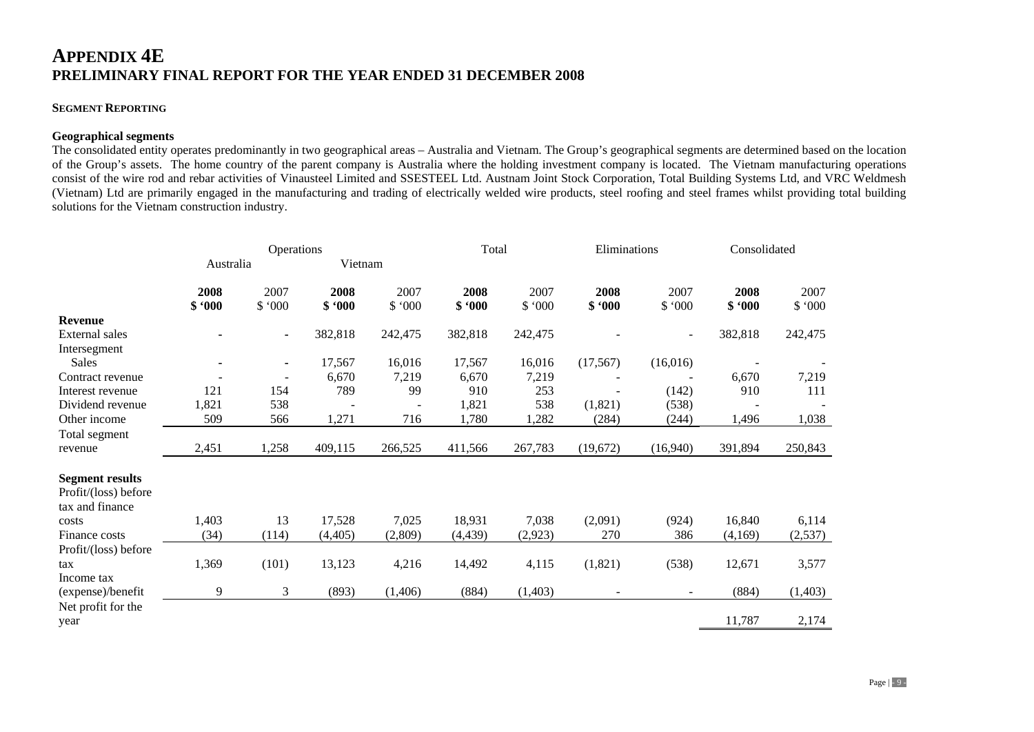### **SEGMENT REPORTING**

### **Geographical segments**

The consolidated entity operates predominantly in two geographical areas – Australia and Vietnam. The Group's geographical segments are determined based on the location of the Group's assets. The home country of the parent company is Australia where the holding investment company is located. The Vietnam manufacturing operations consist of the wire rod and rebar activities of Vinausteel Limited and SSESTEEL Ltd. Austnam Joint Stock Corporation, Total Building Systems Ltd, and VRC Weldmesh (Vietnam) Ltd are primarily engaged in the manufacturing and trading of electrically welded wire products, steel roofing and steel frames whilst providing total building solutions for the Vietnam construction industry.

|                        |                | Operations     |                | Total          |                | Eliminations   |                          | Consolidated   |                |                |
|------------------------|----------------|----------------|----------------|----------------|----------------|----------------|--------------------------|----------------|----------------|----------------|
|                        | Australia      |                | Vietnam        |                |                |                |                          |                |                |                |
|                        | 2008<br>\$.000 | 2007<br>\$.000 | 2008<br>\$.000 | 2007<br>\$.000 | 2008<br>\$.000 | 2007<br>\$.000 | 2008<br>\$.000           | 2007<br>\$.000 | 2008<br>\$.000 | 2007<br>\$.000 |
| <b>Revenue</b>         |                |                |                |                |                |                |                          |                |                |                |
| External sales         |                | $\blacksquare$ | 382,818        | 242,475        | 382,818        | 242,475        |                          |                | 382,818        | 242,475        |
| Intersegment           |                |                |                |                |                |                |                          |                |                |                |
| Sales                  |                | $\blacksquare$ | 17,567         | 16,016         | 17,567         | 16,016         | (17, 567)                | (16,016)       |                |                |
| Contract revenue       |                |                | 6,670          | 7,219          | 6,670          | 7,219          |                          |                | 6,670          | 7,219          |
| Interest revenue       | 121            | 154            | 789            | 99             | 910            | 253            |                          | (142)          | 910            | 111            |
| Dividend revenue       | 1,821          | 538            |                |                | 1,821          | 538            | (1,821)                  | (538)          |                |                |
| Other income           | 509            | 566            | 1,271          | 716            | 1,780          | 1,282          | (284)                    | (244)          | 1,496          | 1,038          |
| Total segment          |                |                |                |                |                |                |                          |                |                |                |
| revenue                | 2,451          | 1,258          | 409,115        | 266,525        | 411,566        | 267,783        | (19,672)                 | (16,940)       | 391,894        | 250,843        |
| <b>Segment results</b> |                |                |                |                |                |                |                          |                |                |                |
| Profit/(loss) before   |                |                |                |                |                |                |                          |                |                |                |
| tax and finance        |                |                |                |                |                |                |                          |                |                |                |
| costs                  | 1,403          | 13             | 17,528         | 7,025          | 18,931         | 7,038          | (2,091)                  | (924)          | 16,840         | 6,114          |
| Finance costs          | (34)           | (114)          | (4,405)        | (2,809)        | (4, 439)       | (2,923)        | 270                      | 386            | (4,169)        | (2,537)        |
| Profit/(loss) before   |                |                |                |                |                |                |                          |                |                |                |
| tax                    | 1,369          | (101)          | 13,123         | 4,216          | 14,492         | 4,115          | (1,821)                  | (538)          | 12,671         | 3,577          |
| Income tax             |                |                |                |                |                |                |                          |                |                |                |
| (expense)/benefit      | 9              | 3              | (893)          | (1,406)        | (884)          | (1,403)        | $\overline{\phantom{a}}$ | $\sim$         | (884)          | (1,403)        |
| Net profit for the     |                |                |                |                |                |                |                          |                |                |                |
| year                   |                |                |                |                |                |                |                          |                | 11,787         | 2,174          |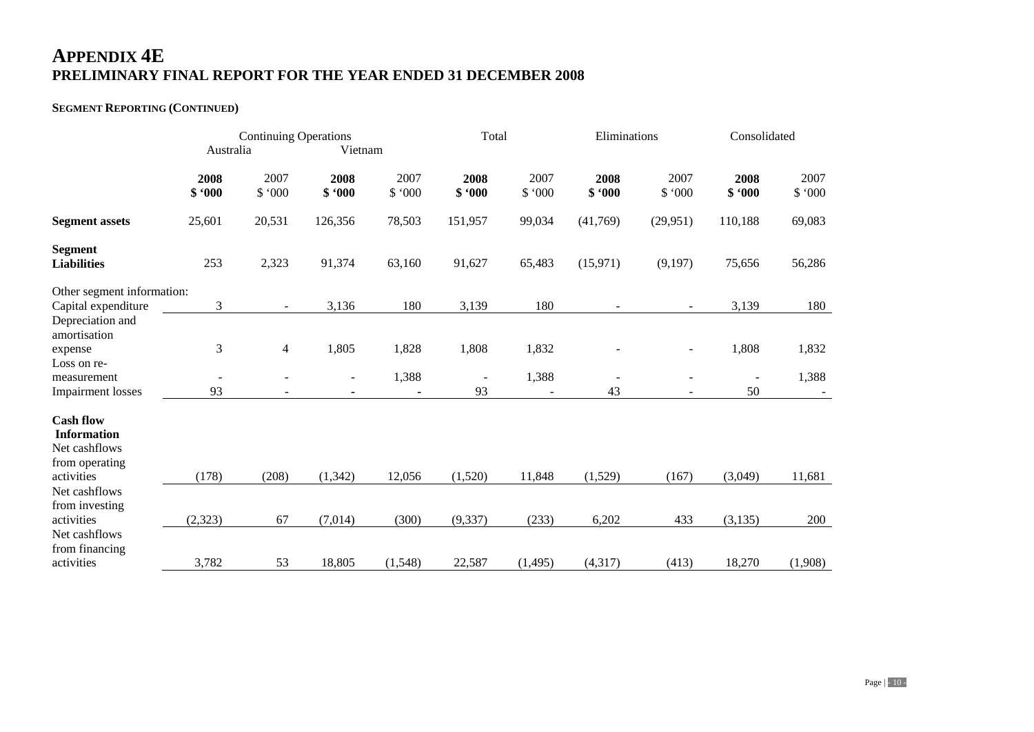## **SEGMENT REPORTING (CONTINUED)**

|                                                                                         | <b>Continuing Operations</b> |                          |                | Total          |                                | Eliminations            |                | Consolidated                 |                                |                |
|-----------------------------------------------------------------------------------------|------------------------------|--------------------------|----------------|----------------|--------------------------------|-------------------------|----------------|------------------------------|--------------------------------|----------------|
|                                                                                         | Australia                    |                          | Vietnam        |                |                                |                         |                |                              |                                |                |
|                                                                                         | 2008<br>\$.000               | 2007<br>\$.000           | 2008<br>\$.000 | 2007<br>\$.000 | 2008<br>\$.000                 | 2007<br>\$.000          | 2008<br>\$.000 | 2007<br>\$.000               | 2008<br>\$.000                 | 2007<br>\$.000 |
| <b>Segment assets</b>                                                                   | 25,601                       | 20,531                   | 126,356        | 78,503         | 151,957                        | 99,034                  | (41,769)       | (29,951)                     | 110,188                        | 69,083         |
| <b>Segment</b><br><b>Liabilities</b>                                                    | 253                          | 2,323                    | 91,374         | 63,160         | 91,627                         | 65,483                  | (15,971)       | (9,197)                      | 75,656                         | 56,286         |
| Other segment information:<br>Capital expenditure                                       | 3                            | $\overline{\phantom{a}}$ | 3,136          | 180            | 3,139                          | 180                     |                |                              | 3,139                          | 180            |
| Depreciation and<br>amortisation<br>expense<br>Loss on re-                              | 3                            | $\overline{4}$           | 1,805          | 1,828          | 1,808                          | 1,832                   |                | $\overline{a}$               | 1,808                          | 1,832          |
| measurement<br><b>Impairment</b> losses                                                 | 93                           | -                        |                | 1,388          | $\overline{\phantom{a}}$<br>93 | 1,388<br>$\blacksquare$ | 43             | $\qquad \qquad \blacksquare$ | $\overline{\phantom{a}}$<br>50 | 1,388          |
| <b>Cash flow</b><br><b>Information</b><br>Net cashflows<br>from operating<br>activities | (178)                        | (208)                    | (1, 342)       | 12,056         | (1,520)                        | 11,848                  | (1,529)        | (167)                        | (3,049)                        | 11,681         |
| Net cashflows<br>from investing<br>activities                                           | (2, 323)                     | 67                       | (7,014)        | (300)          | (9, 337)                       | (233)                   | 6,202          | 433                          | (3, 135)                       | 200            |
| Net cashflows<br>from financing<br>activities                                           | 3,782                        | 53                       | 18,805         | (1,548)        | 22,587                         | (1, 495)                | (4, 317)       | (413)                        | 18,270                         | (1,908)        |